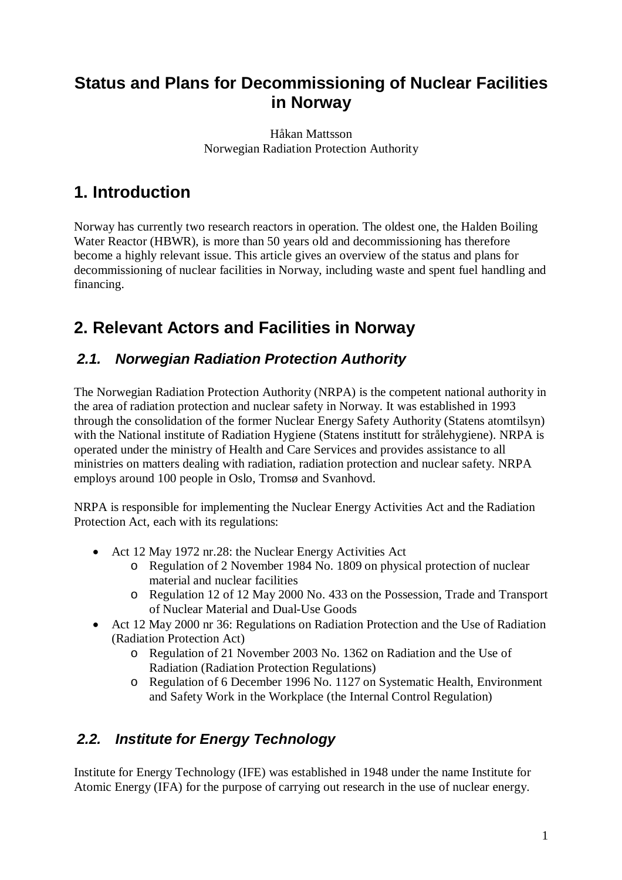## **Status and Plans for Decommissioning of Nuclear Facilities in Norway**

Håkan Mattsson Norwegian Radiation Protection Authority

# **1. Introduction**

Norway has currently two research reactors in operation. The oldest one, the Halden Boiling Water Reactor (HBWR), is more than 50 years old and decommissioning has therefore become a highly relevant issue. This article gives an overview of the status and plans for decommissioning of nuclear facilities in Norway, including waste and spent fuel handling and financing.

# **2. Relevant Actors and Facilities in Norway**

### *2.1. Norwegian Radiation Protection Authority*

The Norwegian Radiation Protection Authority (NRPA) is the competent national authority in the area of radiation protection and nuclear safety in Norway. It was established in 1993 through the consolidation of the former Nuclear Energy Safety Authority (Statens atomtilsyn) with the National institute of Radiation Hygiene (Statens institutt for strålehygiene). NRPA is operated under the ministry of Health and Care Services and provides assistance to all ministries on matters dealing with radiation, radiation protection and nuclear safety. NRPA employs around 100 people in Oslo, Tromsø and Svanhovd.

NRPA is responsible for implementing the Nuclear Energy Activities Act and the Radiation Protection Act, each with its regulations:

- Act 12 May 1972 nr.28: the Nuclear Energy Activities Act
	- o Regulation of 2 November 1984 No. 1809 on physical protection of nuclear material and nuclear facilities
	- o Regulation 12 of 12 May 2000 No. 433 on the Possession, Trade and Transport of Nuclear Material and Dual-Use Goods
- Act 12 May 2000 nr 36: Regulations on Radiation Protection and the Use of Radiation (Radiation Protection Act)
	- o Regulation of 21 November 2003 No. 1362 on Radiation and the Use of Radiation (Radiation Protection Regulations)
	- o Regulation of 6 December 1996 No. 1127 on Systematic Health, Environment and Safety Work in the Workplace (the Internal Control Regulation)

### *2.2. Institute for Energy Technology*

Institute for Energy Technology (IFE) was established in 1948 under the name Institute for Atomic Energy (IFA) for the purpose of carrying out research in the use of nuclear energy.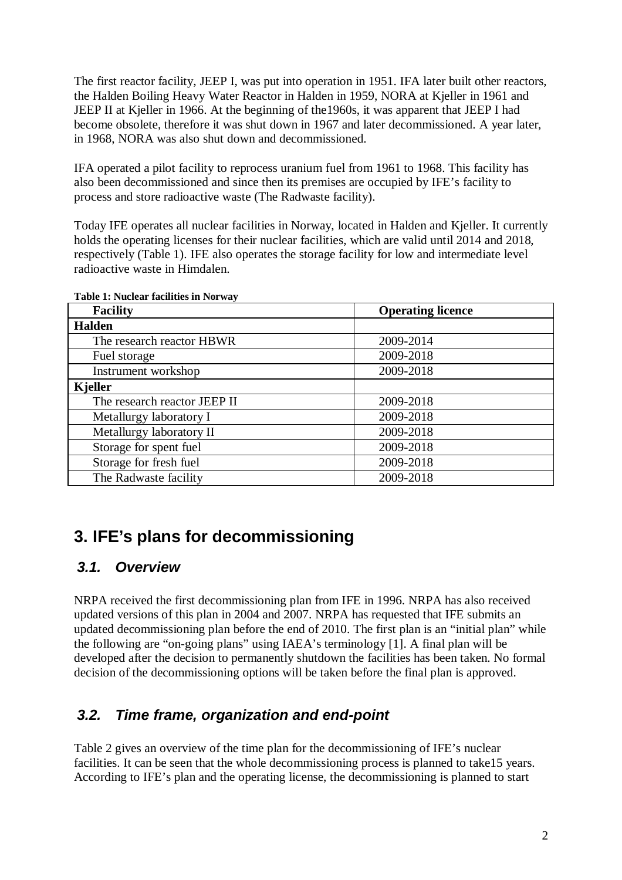The first reactor facility, JEEP I, was put into operation in 1951. IFA later built other reactors, the Halden Boiling Heavy Water Reactor in Halden in 1959, NORA at Kjeller in 1961 and JEEP II at Kjeller in 1966. At the beginning of the1960s, it was apparent that JEEP I had become obsolete, therefore it was shut down in 1967 and later decommissioned. A year later, in 1968, NORA was also shut down and decommissioned.

IFA operated a pilot facility to reprocess uranium fuel from 1961 to 1968. This facility has also been decommissioned and since then its premises are occupied by IFE's facility to process and store radioactive waste (The Radwaste facility).

Today IFE operates all nuclear facilities in Norway, located in Halden and Kjeller. It currently holds the operating licenses for their nuclear facilities, which are valid until 2014 and 2018, respectively (Table 1). IFE also operates the storage facility for low and intermediate level radioactive waste in Himdalen.

| <b>Facility</b>              | <b>Operating licence</b> |
|------------------------------|--------------------------|
| <b>Halden</b>                |                          |
| The research reactor HBWR    | 2009-2014                |
| Fuel storage                 | 2009-2018                |
| Instrument workshop          | 2009-2018                |
| <b>Kjeller</b>               |                          |
| The research reactor JEEP II | 2009-2018                |
| Metallurgy laboratory I      | 2009-2018                |
| Metallurgy laboratory II     | 2009-2018                |
| Storage for spent fuel       | 2009-2018                |
| Storage for fresh fuel       | 2009-2018                |
| The Radwaste facility        | 2009-2018                |

**Table 1: Nuclear facilities in Norway**

## **3. IFE's plans for decommissioning**

#### *3.1. Overview*

NRPA received the first decommissioning plan from IFE in 1996. NRPA has also received updated versions of this plan in 2004 and 2007. NRPA has requested that IFE submits an updated decommissioning plan before the end of 2010. The first plan is an "initial plan" while the following are "on-going plans" using IAEA's terminology [1]. A final plan will be developed after the decision to permanently shutdown the facilities has been taken. No formal decision of the decommissioning options will be taken before the final plan is approved.

### *3.2. Time frame, organization and end-point*

Table 2 gives an overview of the time plan for the decommissioning of IFE's nuclear facilities. It can be seen that the whole decommissioning process is planned to take15 years. According to IFE's plan and the operating license, the decommissioning is planned to start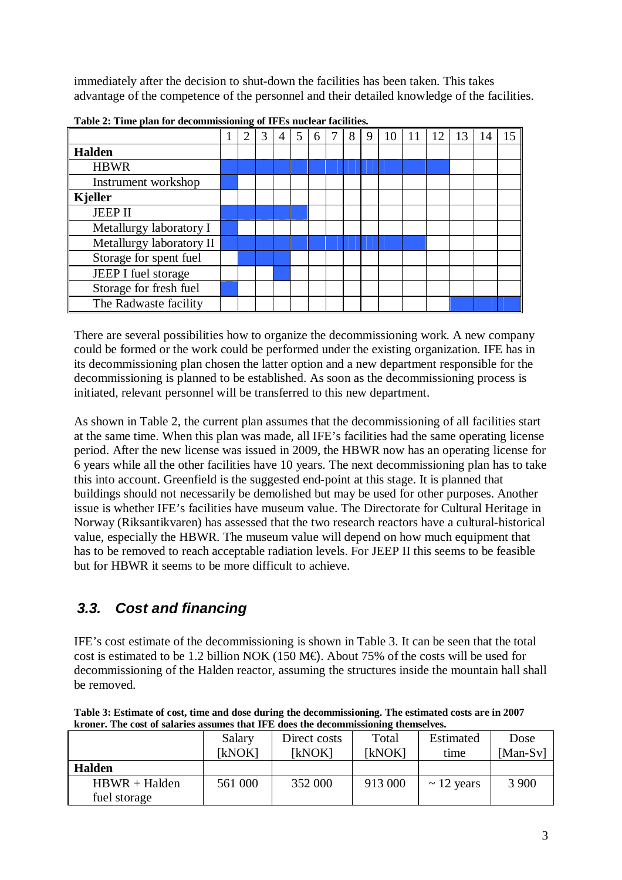immediately after the decision to shut-down the facilities has been taken. This takes advantage of the competence of the personnel and their detailed knowledge of the facilities.

|                          | 2 | 3 | 4 | $\overline{5}$ | 6 | 8 | 9 | 10 | 11 | 12 | 13 | 14 | 15 |
|--------------------------|---|---|---|----------------|---|---|---|----|----|----|----|----|----|
| Halden                   |   |   |   |                |   |   |   |    |    |    |    |    |    |
| <b>HBWR</b>              |   |   |   |                |   |   |   |    |    |    |    |    |    |
| Instrument workshop      |   |   |   |                |   |   |   |    |    |    |    |    |    |
| $\vert$ Kjeller          |   |   |   |                |   |   |   |    |    |    |    |    |    |
| <b>JEEP II</b>           |   |   |   |                |   |   |   |    |    |    |    |    |    |
| Metallurgy laboratory I  |   |   |   |                |   |   |   |    |    |    |    |    |    |
| Metallurgy laboratory II |   |   |   |                |   |   |   |    |    |    |    |    |    |
| Storage for spent fuel   |   |   |   |                |   |   |   |    |    |    |    |    |    |
| JEEP I fuel storage      |   |   |   |                |   |   |   |    |    |    |    |    |    |
| Storage for fresh fuel   |   |   |   |                |   |   |   |    |    |    |    |    |    |
| The Radwaste facility    |   |   |   |                |   |   |   |    |    |    |    |    |    |

**Table 2: Time plan for decommissioning of IFEs nuclear facilities.**

There are several possibilities how to organize the decommissioning work. A new company could be formed or the work could be performed under the existing organization. IFE has in its decommissioning plan chosen the latter option and a new department responsible for the decommissioning is planned to be established. As soon as the decommissioning process is initiated, relevant personnel will be transferred to this new department.

As shown in Table 2, the current plan assumes that the decommissioning of all facilities start at the same time. When this plan was made, all IFE's facilities had the same operating license period. After the new license was issued in 2009, the HBWR now has an operating license for 6 years while all the other facilities have 10 years. The next decommissioning plan has to take this into account. Greenfield is the suggested end-point at this stage. It is planned that buildings should not necessarily be demolished but may be used for other purposes. Another issue is whether IFE's facilities have museum value. The Directorate for Cultural Heritage in Norway (Riksantikvaren) has assessed that the two research reactors have a cultural-historical value, especially the HBWR. The museum value will depend on how much equipment that has to be removed to reach acceptable radiation levels. For JEEP II this seems to be feasible but for HBWR it seems to be more difficult to achieve.

### *3.3. Cost and financing*

IFE's cost estimate of the decommissioning is shown in Table 3. It can be seen that the total cost is estimated to be 1.2 billion NOK (150 M $\oplus$ ). About 75% of the costs will be used for decommissioning of the Halden reactor, assuming the structures inside the mountain hall shall be removed.

**Table 3: Estimate of cost, time and dose during the decommissioning. The estimated costs are in 2007 kroner. The cost of salaries assumes that IFE does the decommissioning themselves.**

|                 | Salary<br>[kNOK] | Direct costs<br>[kNOK] | Total<br>[kNOK] | Estimated<br>time | Dose<br>$[Man-Sv]$ |
|-----------------|------------------|------------------------|-----------------|-------------------|--------------------|
|                 |                  |                        |                 |                   |                    |
| <b>Halden</b>   |                  |                        |                 |                   |                    |
| $HBWR + Halden$ | 561 000          | 352 000                | 913 000         | $\sim$ 12 years   | 3 900              |
| fuel storage    |                  |                        |                 |                   |                    |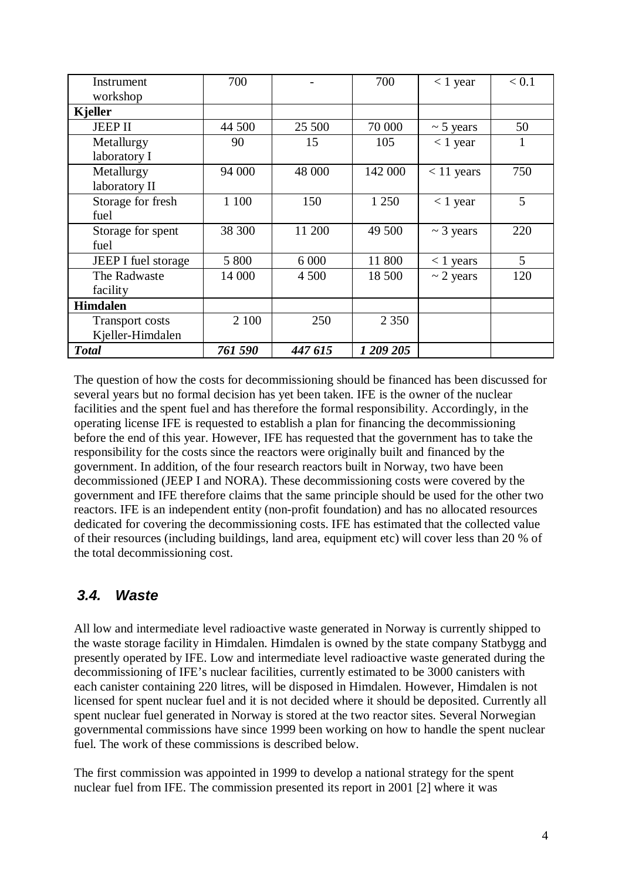| Instrument<br>workshop                     | 700     |         | 700       | $< 1$ year     | < 0.1 |
|--------------------------------------------|---------|---------|-----------|----------------|-------|
| Kjeller                                    |         |         |           |                |       |
| <b>JEEP II</b>                             | 44 500  | 25 500  | 70 000    | $\sim$ 5 years | 50    |
| Metallurgy<br>laboratory I                 | 90      | 15      | 105       | $< 1$ year     | 1     |
| Metallurgy<br>laboratory II                | 94 000  | 48 000  | 142 000   | $< 11$ years   | 750   |
| Storage for fresh<br>fuel                  | 1 100   | 150     | 1 250     | $< 1$ year     | 5     |
| Storage for spent<br>fuel                  | 38 300  | 11 200  | 49 500    | $\sim$ 3 years | 220   |
| <b>JEEP I</b> fuel storage                 | 5 800   | 6 0 0 0 | 11 800    | $<$ 1 years    | 5     |
| The Radwaste<br>facility                   | 14 000  | 4 500   | 18 500    | $\sim$ 2 years | 120   |
| <b>Himdalen</b>                            |         |         |           |                |       |
| <b>Transport costs</b><br>Kjeller-Himdalen | 2 100   | 250     | 2 3 5 0   |                |       |
| <b>Total</b>                               | 761 590 | 447 615 | 1 209 205 |                |       |

The question of how the costs for decommissioning should be financed has been discussed for several years but no formal decision has yet been taken. IFE is the owner of the nuclear facilities and the spent fuel and has therefore the formal responsibility. Accordingly, in the operating license IFE is requested to establish a plan for financing the decommissioning before the end of this year. However, IFE has requested that the government has to take the responsibility for the costs since the reactors were originally built and financed by the government. In addition, of the four research reactors built in Norway, two have been decommissioned (JEEP I and NORA). These decommissioning costs were covered by the government and IFE therefore claims that the same principle should be used for the other two reactors. IFE is an independent entity (non-profit foundation) and has no allocated resources dedicated for covering the decommissioning costs. IFE has estimated that the collected value of their resources (including buildings, land area, equipment etc) will cover less than 20 % of the total decommissioning cost.

#### *3.4. Waste*

All low and intermediate level radioactive waste generated in Norway is currently shipped to the waste storage facility in Himdalen. Himdalen is owned by the state company Statbygg and presently operated by IFE. Low and intermediate level radioactive waste generated during the decommissioning of IFE's nuclear facilities, currently estimated to be 3000 canisters with each canister containing 220 litres, will be disposed in Himdalen. However, Himdalen is not licensed for spent nuclear fuel and it is not decided where it should be deposited. Currently all spent nuclear fuel generated in Norway is stored at the two reactor sites. Several Norwegian governmental commissions have since 1999 been working on how to handle the spent nuclear fuel. The work of these commissions is described below.

The first commission was appointed in 1999 to develop a national strategy for the spent nuclear fuel from IFE. The commission presented its report in 2001 [2] where it was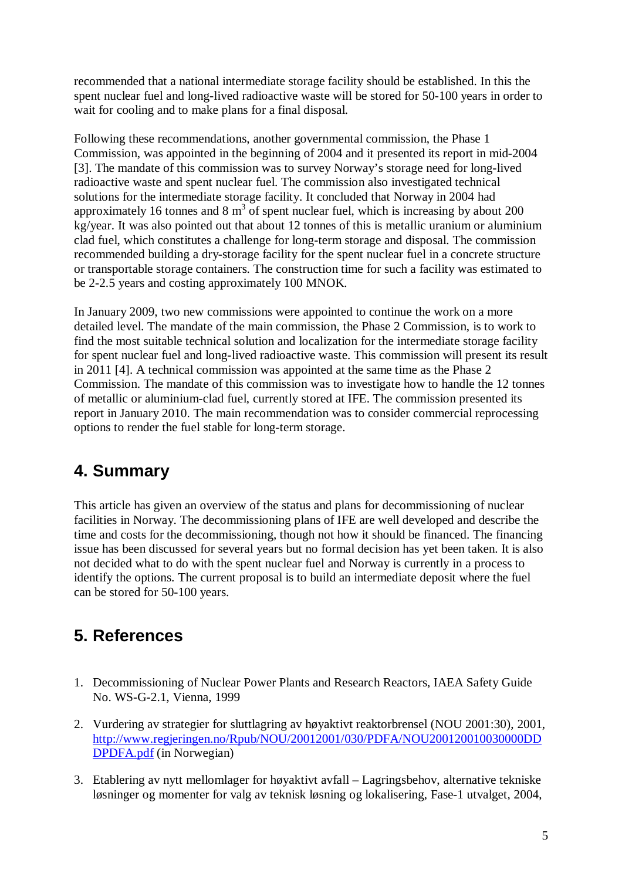recommended that a national intermediate storage facility should be established. In this the spent nuclear fuel and long-lived radioactive waste will be stored for 50-100 years in order to wait for cooling and to make plans for a final disposal.

Following these recommendations, another governmental commission, the Phase 1 Commission, was appointed in the beginning of 2004 and it presented its report in mid-2004 [3]. The mandate of this commission was to survey Norway's storage need for long-lived radioactive waste and spent nuclear fuel. The commission also investigated technical solutions for the intermediate storage facility. It concluded that Norway in 2004 had approximately 16 tonnes and 8  $m<sup>3</sup>$  of spent nuclear fuel, which is increasing by about 200 kg/year. It was also pointed out that about 12 tonnes of this is metallic uranium or aluminium clad fuel, which constitutes a challenge for long-term storage and disposal. The commission recommended building a dry-storage facility for the spent nuclear fuel in a concrete structure or transportable storage containers. The construction time for such a facility was estimated to be 2-2.5 years and costing approximately 100 MNOK.

In January 2009, two new commissions were appointed to continue the work on a more detailed level. The mandate of the main commission, the Phase 2 Commission, is to work to find the most suitable technical solution and localization for the intermediate storage facility for spent nuclear fuel and long-lived radioactive waste. This commission will present its result in 2011 [4]. A technical commission was appointed at the same time as the Phase 2 Commission. The mandate of this commission was to investigate how to handle the 12 tonnes of metallic or aluminium-clad fuel, currently stored at IFE. The commission presented its report in January 2010. The main recommendation was to consider commercial reprocessing options to render the fuel stable for long-term storage.

## **4. Summary**

This article has given an overview of the status and plans for decommissioning of nuclear facilities in Norway. The decommissioning plans of IFE are well developed and describe the time and costs for the decommissioning, though not how it should be financed. The financing issue has been discussed for several years but no formal decision has yet been taken. It is also not decided what to do with the spent nuclear fuel and Norway is currently in a process to identify the options. The current proposal is to build an intermediate deposit where the fuel can be stored for 50-100 years.

## **5. References**

- 1. Decommissioning of Nuclear Power Plants and Research Reactors, IAEA Safety Guide No. WS-G-2.1, Vienna, 1999
- 2. Vurdering av strategier for sluttlagring av høyaktivt reaktorbrensel (NOU 2001:30), 2001, http://www.regjeringen.no/Rpub/NOU/20012001/030/PDFA/NOU200120010030000DD DPDFA.pdf (in Norwegian)
- 3. Etablering av nytt mellomlager for høyaktivt avfall Lagringsbehov, alternative tekniske løsninger og momenter for valg av teknisk løsning og lokalisering, Fase-1 utvalget, 2004,